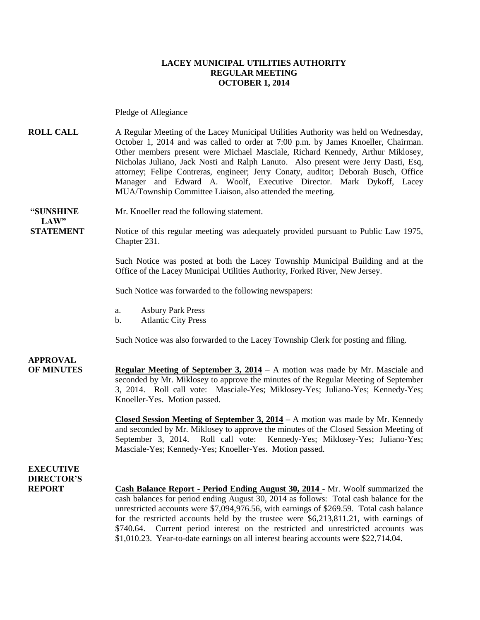#### **LACEY MUNICIPAL UTILITIES AUTHORITY REGULAR MEETING OCTOBER 1, 2014**

Pledge of Allegiance

**ROLL CALL** A Regular Meeting of the Lacey Municipal Utilities Authority was held on Wednesday, October 1, 2014 and was called to order at 7:00 p.m. by James Knoeller, Chairman. Other members present were Michael Masciale, Richard Kennedy, Arthur Miklosey, Nicholas Juliano, Jack Nosti and Ralph Lanuto. Also present were Jerry Dasti, Esq, attorney; Felipe Contreras, engineer; Jerry Conaty, auditor; Deborah Busch, Office Manager and Edward A. Woolf, Executive Director. Mark Dykoff, Lacey MUA/Township Committee Liaison, also attended the meeting.

**"SUNSHINE** Mr. Knoeller read the following statement.  $LAW"$ 

**STATEMENT** Notice of this regular meeting was adequately provided pursuant to Public Law 1975, Chapter 231.

> Such Notice was posted at both the Lacey Township Municipal Building and at the Office of the Lacey Municipal Utilities Authority, Forked River, New Jersey.

Such Notice was forwarded to the following newspapers:

- a. Asbury Park Press
- b. Atlantic City Press

Such Notice was also forwarded to the Lacey Township Clerk for posting and filing.

#### **APPROVAL**

**OF MINUTES Regular Meeting of September 3, 2014** – A motion was made by Mr. Masciale and seconded by Mr. Miklosey to approve the minutes of the Regular Meeting of September 3, 2014. Roll call vote: Masciale-Yes; Miklosey-Yes; Juliano-Yes; Kennedy-Yes; Knoeller-Yes. Motion passed.

> **Closed Session Meeting of September 3, 2014 –** A motion was made by Mr. Kennedy and seconded by Mr. Miklosey to approve the minutes of the Closed Session Meeting of September 3, 2014. Roll call vote: Kennedy-Yes; Miklosey-Yes; Juliano-Yes; Masciale-Yes; Kennedy-Yes; Knoeller-Yes. Motion passed.

#### **EXECUTIVE DIRECTOR'S**

**REPORT Cash Balance Report - Period Ending August 30, 2014** - Mr. Woolf summarized the cash balances for period ending August 30, 2014 as follows: Total cash balance for the unrestricted accounts were \$7,094,976.56, with earnings of \$269.59. Total cash balance for the restricted accounts held by the trustee were \$6,213,811.21, with earnings of \$740.64. Current period interest on the restricted and unrestricted accounts was \$1,010.23. Year-to-date earnings on all interest bearing accounts were \$22,714.04.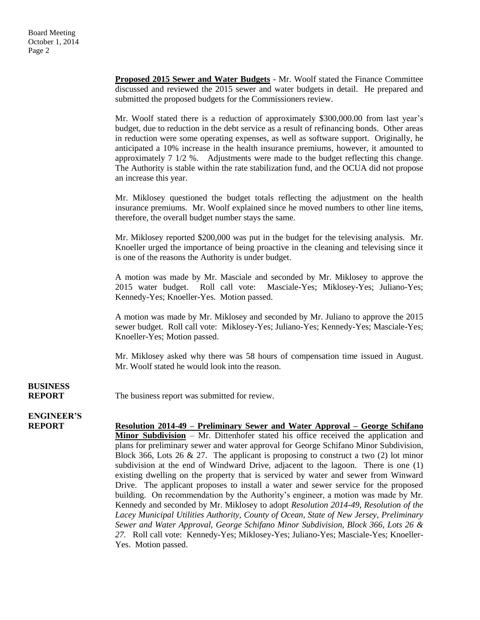**Proposed 2015 Sewer and Water Budgets** - Mr. Woolf stated the Finance Committee discussed and reviewed the 2015 sewer and water budgets in detail. He prepared and submitted the proposed budgets for the Commissioners review.

Mr. Woolf stated there is a reduction of approximately \$300,000.00 from last year's budget, due to reduction in the debt service as a result of refinancing bonds. Other areas in reduction were some operating expenses, as well as software support. Originally, he anticipated a 10% increase in the health insurance premiums, however, it amounted to approximately 7 1/2 %. Adjustments were made to the budget reflecting this change. The Authority is stable within the rate stabilization fund, and the OCUA did not propose an increase this year.

Mr. Miklosey questioned the budget totals reflecting the adjustment on the health insurance premiums. Mr. Woolf explained since he moved numbers to other line items, therefore, the overall budget number stays the same.

Mr. Miklosey reported \$200,000 was put in the budget for the televising analysis. Mr. Knoeller urged the importance of being proactive in the cleaning and televising since it is one of the reasons the Authority is under budget.

A motion was made by Mr. Masciale and seconded by Mr. Miklosey to approve the 2015 water budget. Roll call vote: Masciale-Yes; Miklosey-Yes; Juliano-Yes; Kennedy-Yes; Knoeller-Yes. Motion passed.

A motion was made by Mr. Miklosey and seconded by Mr. Juliano to approve the 2015 sewer budget. Roll call vote: Miklosey-Yes; Juliano-Yes; Kennedy-Yes; Masciale-Yes; Knoeller-Yes; Motion passed.

Mr. Miklosey asked why there was 58 hours of compensation time issued in August. Mr. Woolf stated he would look into the reason.

# **BUSINESS**

**REPORT** The business report was submitted for review.

### **ENGINEER'S**

**REPORT Resolution 2014-49 – Preliminary Sewer and Water Approval – George Schifano Minor Subdivision** – Mr. Dittenhofer stated his office received the application and plans for preliminary sewer and water approval for George Schifano Minor Subdivision, Block 366, Lots 26 & 27. The applicant is proposing to construct a two  $(2)$  lot minor subdivision at the end of Windward Drive, adjacent to the lagoon. There is one (1) existing dwelling on the property that is serviced by water and sewer from Winward Drive. The applicant proposes to install a water and sewer service for the proposed building. On recommendation by the Authority's engineer, a motion was made by Mr. Kennedy and seconded by Mr. Miklosey to adopt *Resolution 2014-49, Resolution of the Lacey Municipal Utilities Authority, County of Ocean, State of New Jersey, Preliminary Sewer and Water Approval, George Schifano Minor Subdivision, Block 366, Lots 26 & 27.* Roll call vote: Kennedy-Yes; Miklosey-Yes; Juliano-Yes; Masciale-Yes; Knoeller-Yes. Motion passed.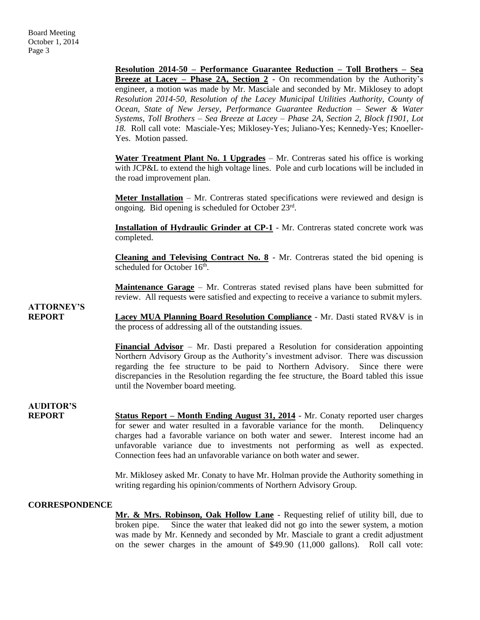**Resolution 2014-50 – Performance Guarantee Reduction – Toll Brothers – Sea Breeze at Lacey – Phase 2A, Section 2** - On recommendation by the Authority's engineer, a motion was made by Mr. Masciale and seconded by Mr. Miklosey to adopt *Resolution 2014-50, Resolution of the Lacey Municipal Utilities Authority, County of Ocean, State of New Jersey, Performance Guarantee Reduction – Sewer & Water Systems, Toll Brothers – Sea Breeze at Lacey – Phase 2A, Section 2, Block f1901, Lot 18.* Roll call vote: Masciale-Yes; Miklosey-Yes; Juliano-Yes; Kennedy-Yes; Knoeller-Yes. Motion passed.

**Water Treatment Plant No. 1 Upgrades** – Mr. Contreras sated his office is working with JCP&L to extend the high voltage lines. Pole and curb locations will be included in the road improvement plan.

Meter Installation – Mr. Contreras stated specifications were reviewed and design is ongoing. Bid opening is scheduled for October 23rd.

**Installation of Hydraulic Grinder at CP-1** - Mr. Contreras stated concrete work was completed.

**Cleaning and Televising Contract No. 8** - Mr. Contreras stated the bid opening is scheduled for October 16<sup>th</sup>.

**Maintenance Garage** – Mr. Contreras stated revised plans have been submitted for review. All requests were satisfied and expecting to receive a variance to submit mylers.

**ATTORNEY'S**

**REPORT Lacey MUA Planning Board Resolution Compliance** - Mr. Dasti stated RV&V is in the process of addressing all of the outstanding issues.

> **Financial Advisor** – Mr. Dasti prepared a Resolution for consideration appointing Northern Advisory Group as the Authority's investment advisor. There was discussion regarding the fee structure to be paid to Northern Advisory. Since there were discrepancies in the Resolution regarding the fee structure, the Board tabled this issue until the November board meeting.

**AUDITOR'S**

**REPORT Status Report – Month Ending August 31, 2014** - Mr. Conaty reported user charges for sewer and water resulted in a favorable variance for the month. Delinquency charges had a favorable variance on both water and sewer. Interest income had an unfavorable variance due to investments not performing as well as expected. Connection fees had an unfavorable variance on both water and sewer.

> Mr. Miklosey asked Mr. Conaty to have Mr. Holman provide the Authority something in writing regarding his opinion/comments of Northern Advisory Group.

#### **CORRESPONDENCE**

**Mr. & Mrs. Robinson, Oak Hollow Lane** - Requesting relief of utility bill, due to broken pipe. Since the water that leaked did not go into the sewer system, a motion was made by Mr. Kennedy and seconded by Mr. Masciale to grant a credit adjustment on the sewer charges in the amount of \$49.90 (11,000 gallons). Roll call vote: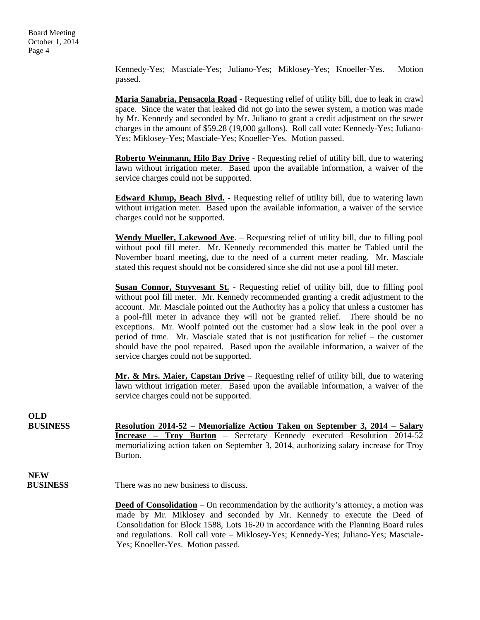Kennedy-Yes; Masciale-Yes; Juliano-Yes; Miklosey-Yes; Knoeller-Yes. Motion passed.

**Maria Sanabria, Pensacola Road** - Requesting relief of utility bill, due to leak in crawl space. Since the water that leaked did not go into the sewer system, a motion was made by Mr. Kennedy and seconded by Mr. Juliano to grant a credit adjustment on the sewer charges in the amount of \$59.28 (19,000 gallons). Roll call vote: Kennedy-Yes; Juliano-Yes; Miklosey-Yes; Masciale-Yes; Knoeller-Yes. Motion passed.

**Roberto Weinmann, Hilo Bay Drive** - Requesting relief of utility bill, due to watering lawn without irrigation meter. Based upon the available information, a waiver of the service charges could not be supported.

**Edward Klump, Beach Blvd.** - Requesting relief of utility bill, due to watering lawn without irrigation meter. Based upon the available information, a waiver of the service charges could not be supported.

**Wendy Mueller, Lakewood Ave**. – Requesting relief of utility bill, due to filling pool without pool fill meter. Mr. Kennedy recommended this matter be Tabled until the November board meeting, due to the need of a current meter reading. Mr. Masciale stated this request should not be considered since she did not use a pool fill meter.

**Susan Connor, Stuyvesant St.** - Requesting relief of utility bill, due to filling pool without pool fill meter. Mr. Kennedy recommended granting a credit adjustment to the account. Mr. Masciale pointed out the Authority has a policy that unless a customer has a pool-fill meter in advance they will not be granted relief. There should be no exceptions. Mr. Woolf pointed out the customer had a slow leak in the pool over a period of time. Mr. Masciale stated that is not justification for relief – the customer should have the pool repaired. Based upon the available information, a waiver of the service charges could not be supported.

**Mr. & Mrs. Maier, Capstan Drive** – Requesting relief of utility bill, due to watering lawn without irrigation meter. Based upon the available information, a waiver of the service charges could not be supported.

**BUSINESS Resolution 2014-52 – Memorialize Action Taken on September 3, 2014 – Salary Increase – Troy Burton** – Secretary Kennedy executed Resolution 2014-52 memorializing action taken on September 3, 2014, authorizing salary increase for Troy Burton.

**NEW BUSINESS** There was no new business to discuss.

> **Deed of Consolidation** – On recommendation by the authority's attorney, a motion was made by Mr. Miklosey and seconded by Mr. Kennedy to execute the Deed of Consolidation for Block 1588, Lots 16-20 in accordance with the Planning Board rules and regulations. Roll call vote – Miklosey-Yes; Kennedy-Yes; Juliano-Yes; Masciale-Yes; Knoeller-Yes. Motion passed.

**OLD**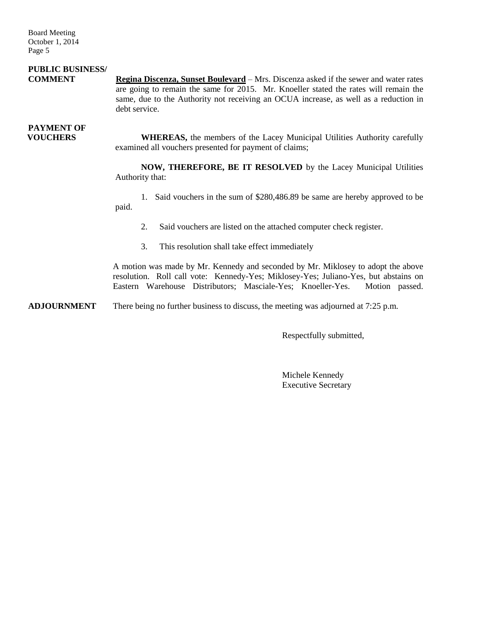Board Meeting October 1, 2014 Page 5

## **PUBLIC BUSINESS/**

**COMMENT Regina Discenza, Sunset Boulevard** – Mrs. Discenza asked if the sewer and water rates are going to remain the same for 2015. Mr. Knoeller stated the rates will remain the same, due to the Authority not receiving an OCUA increase, as well as a reduction in debt service.

## **PAYMENT OF**

**VOUCHERS** WHEREAS, the members of the Lacey Municipal Utilities Authority carefully examined all vouchers presented for payment of claims;

> **NOW, THEREFORE, BE IT RESOLVED** by the Lacey Municipal Utilities Authority that:

> 1. Said vouchers in the sum of \$280,486.89 be same are hereby approved to be paid.

- 2. Said vouchers are listed on the attached computer check register.
- 3. This resolution shall take effect immediately

A motion was made by Mr. Kennedy and seconded by Mr. Miklosey to adopt the above resolution. Roll call vote: Kennedy-Yes; Miklosey-Yes; Juliano-Yes, but abstains on Eastern Warehouse Distributors; Masciale-Yes; Knoeller-Yes. Motion passed.

**ADJOURNMENT** There being no further business to discuss, the meeting was adjourned at 7:25 p.m.

Respectfully submitted,

Michele Kennedy Executive Secretary